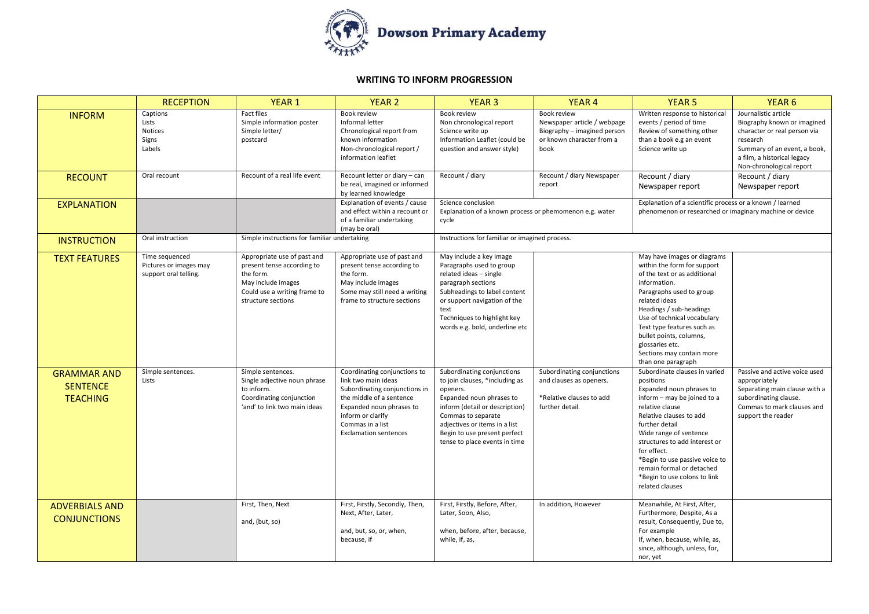

## **WRITING TO INFORM PROGRESSION**

|                                                          | <b>RECEPTION</b>                                                  | <b>YEAR 1</b>                                                                                                                                      | <b>YEAR 2</b>                                                                                                                                                                                                         | <b>YEAR 3</b>                                                                                                                                                                                                                                                  | <b>YEAR 4</b>                                                                                                  | <b>YEAR 5</b>                                                                                                                                                                                                                                                                                                                                                     | YEAR <sub>6</sub>                                                                                                                                                                          |
|----------------------------------------------------------|-------------------------------------------------------------------|----------------------------------------------------------------------------------------------------------------------------------------------------|-----------------------------------------------------------------------------------------------------------------------------------------------------------------------------------------------------------------------|----------------------------------------------------------------------------------------------------------------------------------------------------------------------------------------------------------------------------------------------------------------|----------------------------------------------------------------------------------------------------------------|-------------------------------------------------------------------------------------------------------------------------------------------------------------------------------------------------------------------------------------------------------------------------------------------------------------------------------------------------------------------|--------------------------------------------------------------------------------------------------------------------------------------------------------------------------------------------|
| <b>INFORM</b>                                            | Captions<br>Lists<br><b>Notices</b><br>Signs<br>Labels            | Fact files<br>Simple information poster<br>Simple letter/<br>postcard                                                                              | Book review<br>Informal letter<br>Chronological report from<br>known information<br>Non-chronological report /<br>information leaflet                                                                                 | Book review<br>Non chronological report<br>Science write up<br>Information Leaflet (could be<br>question and answer style)                                                                                                                                     | Book review<br>Newspaper article / webpage<br>Biography - imagined person<br>or known character from a<br>book | Written response to historical<br>events / period of time<br>Review of something other<br>than a book e.g an event<br>Science write up                                                                                                                                                                                                                            | Journalistic article<br>Biography known or imagined<br>character or real person via<br>research<br>Summary of an event, a book,<br>a film, a historical legacy<br>Non-chronological report |
| <b>RECOUNT</b>                                           | Oral recount                                                      | Recount of a real life event                                                                                                                       | Recount letter or diary - can<br>be real, imagined or informed<br>by learned knowledge                                                                                                                                | Recount / diary                                                                                                                                                                                                                                                | Recount / diary Newspaper<br>report                                                                            | Recount / diary<br>Newspaper report                                                                                                                                                                                                                                                                                                                               | Recount / diary<br>Newspaper report                                                                                                                                                        |
| <b>EXPLANATION</b>                                       |                                                                   |                                                                                                                                                    | Explanation of events / cause<br>and effect within a recount or<br>of a familiar undertaking<br>(may be oral)                                                                                                         | Science conclusion<br>Explanation of a known process or phemomenon e.g. water<br>cycle                                                                                                                                                                         |                                                                                                                | Explanation of a scientific process or a known / learned<br>phenomenon or researched or imaginary machine or device                                                                                                                                                                                                                                               |                                                                                                                                                                                            |
| <b>INSTRUCTION</b>                                       | Oral instruction                                                  | Simple instructions for familiar undertaking                                                                                                       |                                                                                                                                                                                                                       | Instructions for familiar or imagined process.                                                                                                                                                                                                                 |                                                                                                                |                                                                                                                                                                                                                                                                                                                                                                   |                                                                                                                                                                                            |
| <b>TEXT FEATURES</b>                                     | Time sequenced<br>Pictures or images may<br>support oral telling. | Appropriate use of past and<br>present tense according to<br>the form.<br>May include images<br>Could use a writing frame to<br>structure sections | Appropriate use of past and<br>present tense according to<br>the form.<br>May include images<br>Some may still need a writing<br>frame to structure sections                                                          | May include a key image<br>Paragraphs used to group<br>related ideas - single<br>paragraph sections<br>Subheadings to label content<br>or support navigation of the<br>text<br>Techniques to highlight key<br>words e.g. bold, underline etc                   |                                                                                                                | May have images or diagrams<br>within the form for support<br>of the text or as additional<br>information.<br>Paragraphs used to group<br>related ideas<br>Headings / sub-headings<br>Use of technical vocabulary<br>Text type features such as<br>bullet points, columns,<br>glossaries etc.<br>Sections may contain more<br>than one paragraph                  |                                                                                                                                                                                            |
| <b>GRAMMAR AND</b><br><b>SENTENCE</b><br><b>TEACHING</b> | Simple sentences.<br>Lists                                        | Simple sentences.<br>Single adjective noun phrase<br>to inform.<br>Coordinating conjunction<br>'and' to link two main ideas                        | Coordinating conjunctions to<br>link two main ideas<br>Subordinating conjunctions in<br>the middle of a sentence<br>Expanded noun phrases to<br>inform or clarify<br>Commas in a list<br><b>Exclamation sentences</b> | Subordinating conjunctions<br>to join clauses, *including as<br>openers.<br>Expanded noun phrases to<br>inform (detail or description)<br>Commas to separate<br>adjectives or items in a list<br>Begin to use present perfect<br>tense to place events in time | Subordinating conjunctions<br>and clauses as openers.<br>*Relative clauses to add<br>further detail.           | Subordinate clauses in varied<br>positions<br>Expanded noun phrases to<br>inform - may be joined to a<br>relative clause<br>Relative clauses to add<br>further detail<br>Wide range of sentence<br>structures to add interest or<br>for effect.<br>*Begin to use passive voice to<br>remain formal or detached<br>*Begin to use colons to link<br>related clauses | Passive and active voice used<br>appropriately<br>Separating main clause with a<br>subordinating clause.<br>Commas to mark clauses and<br>support the reader                               |
| <b>ADVERBIALS AND</b><br><b>CONJUNCTIONS</b>             |                                                                   | First, Then, Next<br>and, (but, so)                                                                                                                | First, Firstly, Secondly, Then,<br>Next, After, Later,<br>and, but, so, or, when,<br>because, if                                                                                                                      | First, Firstly, Before, After,<br>Later, Soon, Also,<br>when, before, after, because,<br>while, if, as,                                                                                                                                                        | In addition, However                                                                                           | Meanwhile, At First, After,<br>Furthermore, Despite, As a<br>result, Consequently, Due to,<br>For example<br>If, when, because, while, as,<br>since, although, unless, for,<br>nor, yet                                                                                                                                                                           |                                                                                                                                                                                            |